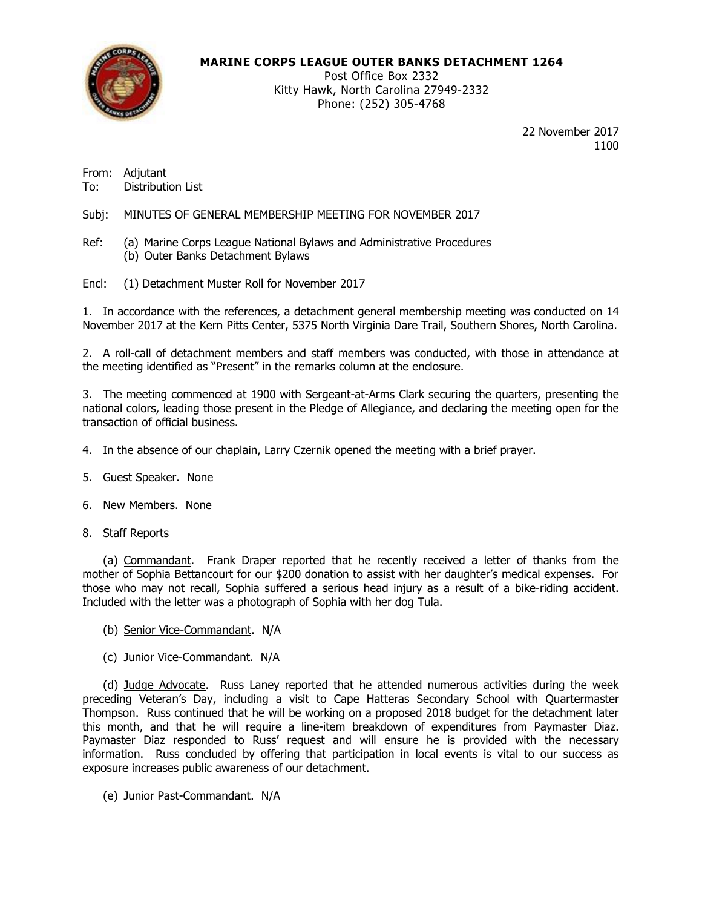

## **MARINE CORPS LEAGUE OUTER BANKS DETACHMENT 1264**

Post Office Box 2332 Kitty Hawk, North Carolina 27949-2332 Phone: (252) 305-4768

> 22 November 2017 1100

From: Adjutant To: Distribution List

Subj: MINUTES OF GENERAL MEMBERSHIP MEETING FOR NOVEMBER 2017

Ref: (a) Marine Corps League National Bylaws and Administrative Procedures (b) Outer Banks Detachment Bylaws

Encl: (1) Detachment Muster Roll for November 2017

1. In accordance with the references, a detachment general membership meeting was conducted on 14 November 2017 at the Kern Pitts Center, 5375 North Virginia Dare Trail, Southern Shores, North Carolina.

2. A roll-call of detachment members and staff members was conducted, with those in attendance at the meeting identified as "Present" in the remarks column at the enclosure.

3. The meeting commenced at 1900 with Sergeant-at-Arms Clark securing the quarters, presenting the national colors, leading those present in the Pledge of Allegiance, and declaring the meeting open for the transaction of official business.

- 4. In the absence of our chaplain, Larry Czernik opened the meeting with a brief prayer.
- 5. Guest Speaker. None
- 6. New Members. None
- 8. Staff Reports

(a) Commandant. Frank Draper reported that he recently received a letter of thanks from the mother of Sophia Bettancourt for our \$200 donation to assist with her daughter's medical expenses. For those who may not recall, Sophia suffered a serious head injury as a result of a bike-riding accident. Included with the letter was a photograph of Sophia with her dog Tula.

- (b) Senior Vice-Commandant. N/A
- (c) Junior Vice-Commandant. N/A

(d) Judge Advocate. Russ Laney reported that he attended numerous activities during the week preceding Veteran's Day, including a visit to Cape Hatteras Secondary School with Quartermaster Thompson. Russ continued that he will be working on a proposed 2018 budget for the detachment later this month, and that he will require a line-item breakdown of expenditures from Paymaster Diaz. Paymaster Diaz responded to Russ' request and will ensure he is provided with the necessary information. Russ concluded by offering that participation in local events is vital to our success as exposure increases public awareness of our detachment.

(e) Junior Past-Commandant. N/A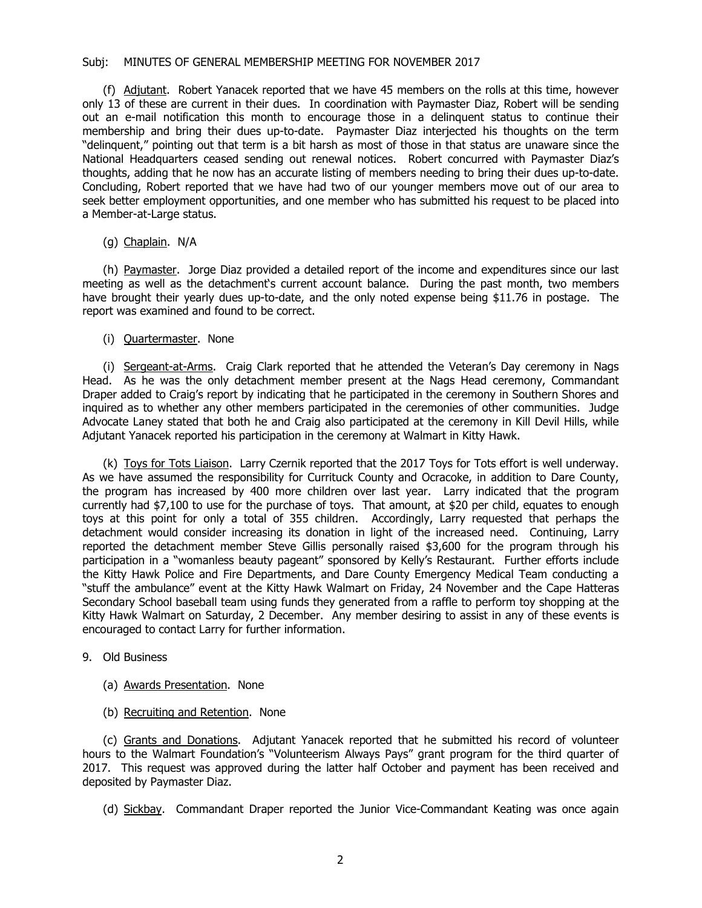#### Subj: MINUTES OF GENERAL MEMBERSHIP MEETING FOR NOVEMBER 2017

(f) Adjutant. Robert Yanacek reported that we have 45 members on the rolls at this time, however only 13 of these are current in their dues. In coordination with Paymaster Diaz, Robert will be sending out an e-mail notification this month to encourage those in a delinquent status to continue their membership and bring their dues up-to-date. Paymaster Diaz interjected his thoughts on the term "delinquent," pointing out that term is a bit harsh as most of those in that status are unaware since the National Headquarters ceased sending out renewal notices. Robert concurred with Paymaster Diaz's thoughts, adding that he now has an accurate listing of members needing to bring their dues up-to-date. Concluding, Robert reported that we have had two of our younger members move out of our area to seek better employment opportunities, and one member who has submitted his request to be placed into a Member-at-Large status.

### (g) Chaplain. N/A

(h) Paymaster. Jorge Diaz provided a detailed report of the income and expenditures since our last meeting as well as the detachment's current account balance. During the past month, two members have brought their yearly dues up-to-date, and the only noted expense being \$11.76 in postage. The report was examined and found to be correct.

### (i) Quartermaster. None

(i) Sergeant-at-Arms. Craig Clark reported that he attended the Veteran's Day ceremony in Nags Head. As he was the only detachment member present at the Nags Head ceremony, Commandant Draper added to Craig's report by indicating that he participated in the ceremony in Southern Shores and inquired as to whether any other members participated in the ceremonies of other communities. Judge Advocate Laney stated that both he and Craig also participated at the ceremony in Kill Devil Hills, while Adjutant Yanacek reported his participation in the ceremony at Walmart in Kitty Hawk.

(k) Toys for Tots Liaison. Larry Czernik reported that the 2017 Toys for Tots effort is well underway. As we have assumed the responsibility for Currituck County and Ocracoke, in addition to Dare County, the program has increased by 400 more children over last year. Larry indicated that the program currently had \$7,100 to use for the purchase of toys. That amount, at \$20 per child, equates to enough toys at this point for only a total of 355 children. Accordingly, Larry requested that perhaps the detachment would consider increasing its donation in light of the increased need. Continuing, Larry reported the detachment member Steve Gillis personally raised \$3,600 for the program through his participation in a "womanless beauty pageant" sponsored by Kelly's Restaurant. Further efforts include the Kitty Hawk Police and Fire Departments, and Dare County Emergency Medical Team conducting a "stuff the ambulance" event at the Kitty Hawk Walmart on Friday, 24 November and the Cape Hatteras Secondary School baseball team using funds they generated from a raffle to perform toy shopping at the Kitty Hawk Walmart on Saturday, 2 December. Any member desiring to assist in any of these events is encouraged to contact Larry for further information.

#### 9. Old Business

- (a) Awards Presentation. None
- (b) Recruiting and Retention. None

(c) Grants and Donations. Adjutant Yanacek reported that he submitted his record of volunteer hours to the Walmart Foundation's "Volunteerism Always Pays" grant program for the third quarter of 2017. This request was approved during the latter half October and payment has been received and deposited by Paymaster Diaz.

(d) Sickbay. Commandant Draper reported the Junior Vice-Commandant Keating was once again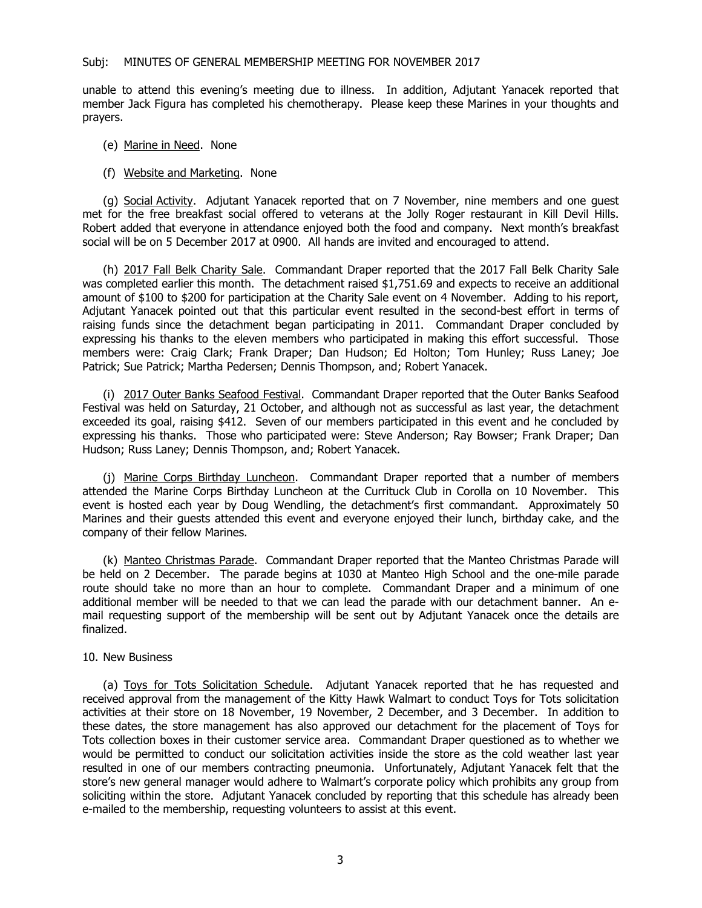unable to attend this evening's meeting due to illness. In addition, Adjutant Yanacek reported that member Jack Figura has completed his chemotherapy. Please keep these Marines in your thoughts and prayers.

- (e) Marine in Need. None
- (f) Website and Marketing. None

(g) Social Activity. Adjutant Yanacek reported that on 7 November, nine members and one guest met for the free breakfast social offered to veterans at the Jolly Roger restaurant in Kill Devil Hills. Robert added that everyone in attendance enjoyed both the food and company. Next month's breakfast social will be on 5 December 2017 at 0900. All hands are invited and encouraged to attend.

(h) 2017 Fall Belk Charity Sale. Commandant Draper reported that the 2017 Fall Belk Charity Sale was completed earlier this month. The detachment raised \$1,751.69 and expects to receive an additional amount of \$100 to \$200 for participation at the Charity Sale event on 4 November. Adding to his report, Adjutant Yanacek pointed out that this particular event resulted in the second-best effort in terms of raising funds since the detachment began participating in 2011. Commandant Draper concluded by expressing his thanks to the eleven members who participated in making this effort successful. Those members were: Craig Clark; Frank Draper; Dan Hudson; Ed Holton; Tom Hunley; Russ Laney; Joe Patrick; Sue Patrick; Martha Pedersen; Dennis Thompson, and; Robert Yanacek.

(i) 2017 Outer Banks Seafood Festival. Commandant Draper reported that the Outer Banks Seafood Festival was held on Saturday, 21 October, and although not as successful as last year, the detachment exceeded its goal, raising \$412. Seven of our members participated in this event and he concluded by expressing his thanks. Those who participated were: Steve Anderson; Ray Bowser; Frank Draper; Dan Hudson; Russ Laney; Dennis Thompson, and; Robert Yanacek.

(j) Marine Corps Birthday Luncheon. Commandant Draper reported that a number of members attended the Marine Corps Birthday Luncheon at the Currituck Club in Corolla on 10 November. This event is hosted each year by Doug Wendling, the detachment's first commandant. Approximately 50 Marines and their guests attended this event and everyone enjoyed their lunch, birthday cake, and the company of their fellow Marines.

(k) Manteo Christmas Parade. Commandant Draper reported that the Manteo Christmas Parade will be held on 2 December. The parade begins at 1030 at Manteo High School and the one-mile parade route should take no more than an hour to complete. Commandant Draper and a minimum of one additional member will be needed to that we can lead the parade with our detachment banner. An email requesting support of the membership will be sent out by Adjutant Yanacek once the details are finalized.

#### 10. New Business

(a) Toys for Tots Solicitation Schedule. Adjutant Yanacek reported that he has requested and received approval from the management of the Kitty Hawk Walmart to conduct Toys for Tots solicitation activities at their store on 18 November, 19 November, 2 December, and 3 December. In addition to these dates, the store management has also approved our detachment for the placement of Toys for Tots collection boxes in their customer service area. Commandant Draper questioned as to whether we would be permitted to conduct our solicitation activities inside the store as the cold weather last year resulted in one of our members contracting pneumonia. Unfortunately, Adjutant Yanacek felt that the store's new general manager would adhere to Walmart's corporate policy which prohibits any group from soliciting within the store. Adjutant Yanacek concluded by reporting that this schedule has already been e-mailed to the membership, requesting volunteers to assist at this event.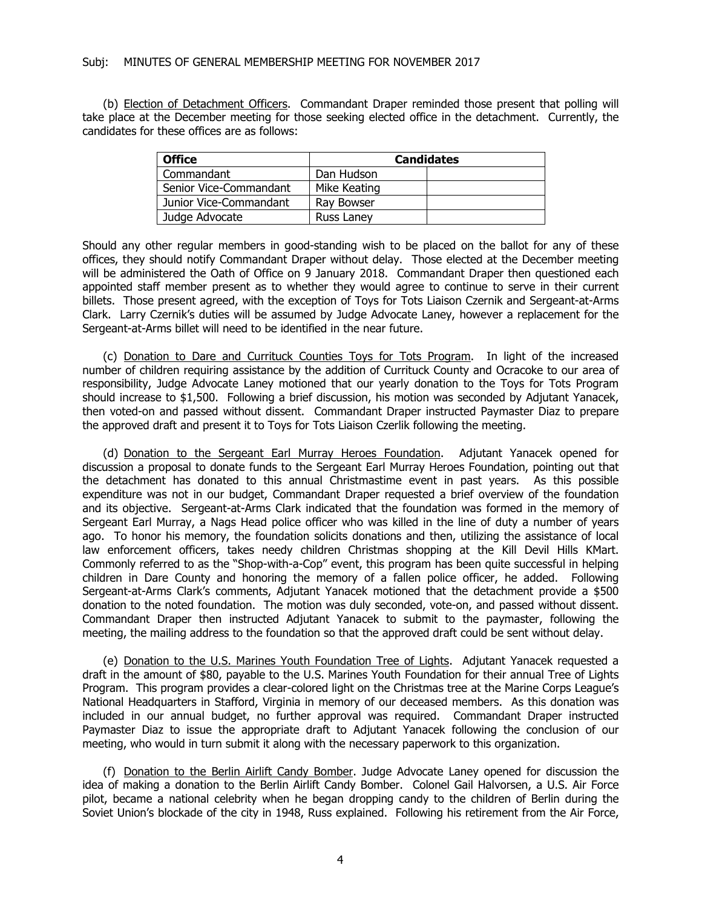(b) Election of Detachment Officers. Commandant Draper reminded those present that polling will take place at the December meeting for those seeking elected office in the detachment. Currently, the candidates for these offices are as follows:

| <b>Office</b>          | <b>Candidates</b> |  |
|------------------------|-------------------|--|
| Commandant             | Dan Hudson        |  |
| Senior Vice-Commandant | Mike Keating      |  |
| Junior Vice-Commandant | Ray Bowser        |  |
| Judge Advocate         | Russ Laney        |  |

Should any other regular members in good-standing wish to be placed on the ballot for any of these offices, they should notify Commandant Draper without delay. Those elected at the December meeting will be administered the Oath of Office on 9 January 2018. Commandant Draper then questioned each appointed staff member present as to whether they would agree to continue to serve in their current billets. Those present agreed, with the exception of Toys for Tots Liaison Czernik and Sergeant-at-Arms Clark. Larry Czernik's duties will be assumed by Judge Advocate Laney, however a replacement for the Sergeant-at-Arms billet will need to be identified in the near future.

(c) Donation to Dare and Currituck Counties Toys for Tots Program. In light of the increased number of children requiring assistance by the addition of Currituck County and Ocracoke to our area of responsibility, Judge Advocate Laney motioned that our yearly donation to the Toys for Tots Program should increase to \$1,500. Following a brief discussion, his motion was seconded by Adjutant Yanacek, then voted-on and passed without dissent. Commandant Draper instructed Paymaster Diaz to prepare the approved draft and present it to Toys for Tots Liaison Czerlik following the meeting.

(d) Donation to the Sergeant Earl Murray Heroes Foundation. Adjutant Yanacek opened for discussion a proposal to donate funds to the Sergeant Earl Murray Heroes Foundation, pointing out that the detachment has donated to this annual Christmastime event in past years. As this possible expenditure was not in our budget, Commandant Draper requested a brief overview of the foundation and its objective. Sergeant-at-Arms Clark indicated that the foundation was formed in the memory of Sergeant Earl Murray, a Nags Head police officer who was killed in the line of duty a number of years ago. To honor his memory, the foundation solicits donations and then, utilizing the assistance of local law enforcement officers, takes needy children Christmas shopping at the Kill Devil Hills KMart. Commonly referred to as the "Shop-with-a-Cop" event, this program has been quite successful in helping children in Dare County and honoring the memory of a fallen police officer, he added. Following Sergeant-at-Arms Clark's comments, Adjutant Yanacek motioned that the detachment provide a \$500 donation to the noted foundation. The motion was duly seconded, vote-on, and passed without dissent. Commandant Draper then instructed Adjutant Yanacek to submit to the paymaster, following the meeting, the mailing address to the foundation so that the approved draft could be sent without delay.

(e) Donation to the U.S. Marines Youth Foundation Tree of Lights. Adjutant Yanacek requested a draft in the amount of \$80, payable to the U.S. Marines Youth Foundation for their annual Tree of Lights Program. This program provides a clear-colored light on the Christmas tree at the Marine Corps League's National Headquarters in Stafford, Virginia in memory of our deceased members. As this donation was included in our annual budget, no further approval was required. Commandant Draper instructed Paymaster Diaz to issue the appropriate draft to Adjutant Yanacek following the conclusion of our meeting, who would in turn submit it along with the necessary paperwork to this organization.

(f) Donation to the Berlin Airlift Candy Bomber. Judge Advocate Laney opened for discussion the idea of making a donation to the Berlin Airlift Candy Bomber. Colonel Gail Halvorsen, a U.S. Air Force pilot, became a national celebrity when he began dropping candy to the children of Berlin during the Soviet Union's blockade of the city in 1948, Russ explained. Following his retirement from the Air Force,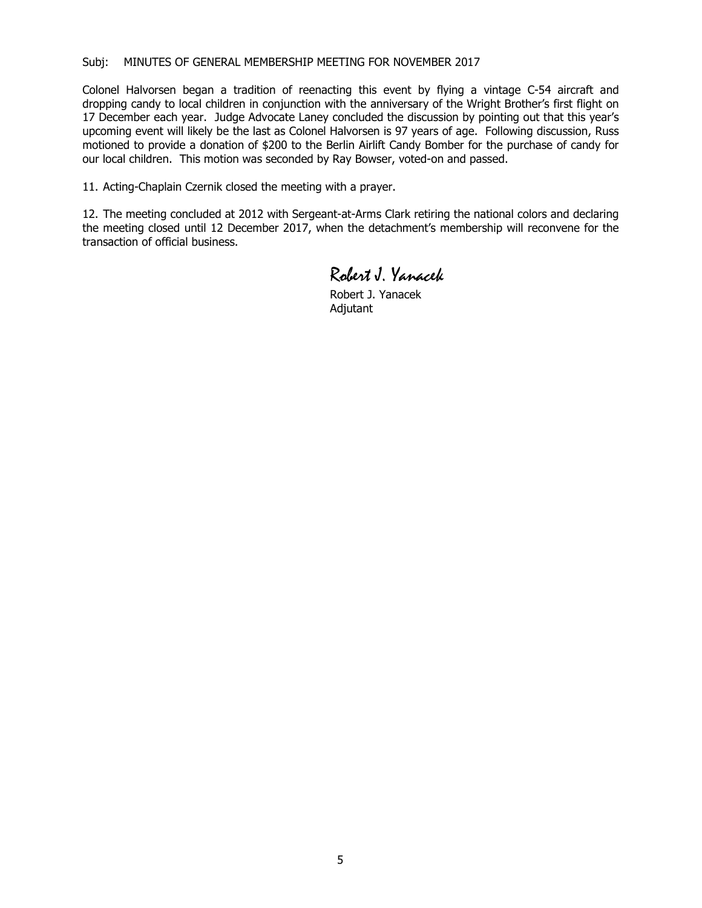#### Subj: MINUTES OF GENERAL MEMBERSHIP MEETING FOR NOVEMBER 2017

Colonel Halvorsen began a tradition of reenacting this event by flying a vintage C-54 aircraft and dropping candy to local children in conjunction with the anniversary of the Wright Brother's first flight on 17 December each year. Judge Advocate Laney concluded the discussion by pointing out that this year's upcoming event will likely be the last as Colonel Halvorsen is 97 years of age. Following discussion, Russ motioned to provide a donation of \$200 to the Berlin Airlift Candy Bomber for the purchase of candy for our local children. This motion was seconded by Ray Bowser, voted-on and passed.

11. Acting-Chaplain Czernik closed the meeting with a prayer.

12. The meeting concluded at 2012 with Sergeant-at-Arms Clark retiring the national colors and declaring the meeting closed until 12 December 2017, when the detachment's membership will reconvene for the transaction of official business.

Robert J. Yanacek

Robert J. Yanacek Adjutant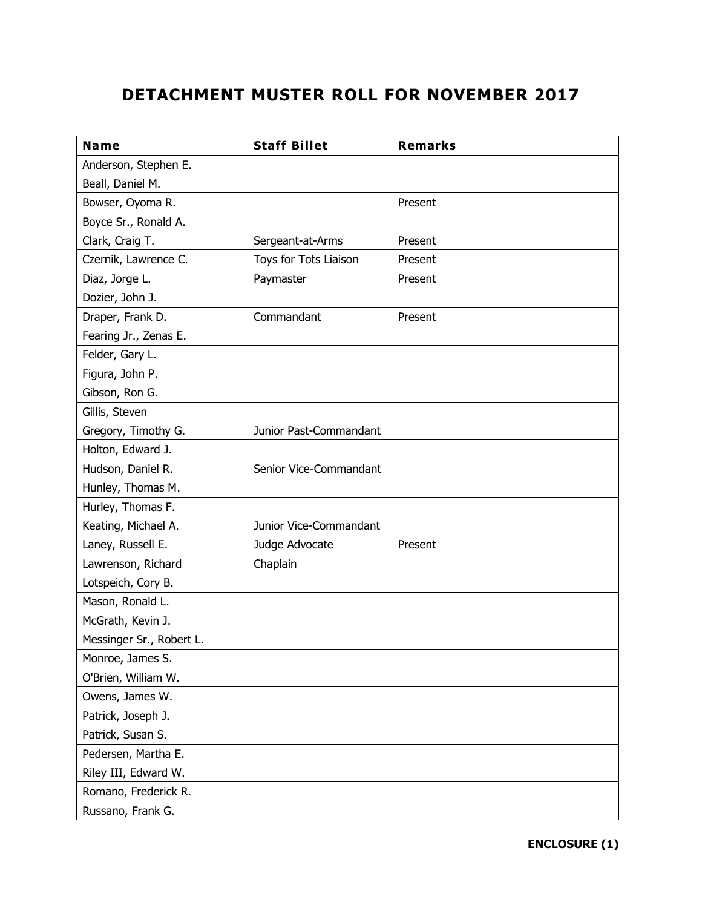# **DETACHMENT MUSTER ROLL FOR NOVEMBER 2017**

| Name                     | <b>Staff Billet</b>    | <b>Remarks</b> |
|--------------------------|------------------------|----------------|
| Anderson, Stephen E.     |                        |                |
| Beall, Daniel M.         |                        |                |
| Bowser, Oyoma R.         |                        | Present        |
| Boyce Sr., Ronald A.     |                        |                |
| Clark, Craig T.          | Sergeant-at-Arms       | Present        |
| Czernik, Lawrence C.     | Toys for Tots Liaison  | Present        |
| Diaz, Jorge L.           | Paymaster              | Present        |
| Dozier, John J.          |                        |                |
| Draper, Frank D.         | Commandant             | Present        |
| Fearing Jr., Zenas E.    |                        |                |
| Felder, Gary L.          |                        |                |
| Figura, John P.          |                        |                |
| Gibson, Ron G.           |                        |                |
| Gillis, Steven           |                        |                |
| Gregory, Timothy G.      | Junior Past-Commandant |                |
| Holton, Edward J.        |                        |                |
| Hudson, Daniel R.        | Senior Vice-Commandant |                |
| Hunley, Thomas M.        |                        |                |
| Hurley, Thomas F.        |                        |                |
| Keating, Michael A.      | Junior Vice-Commandant |                |
| Laney, Russell E.        | Judge Advocate         | Present        |
| Lawrenson, Richard       | Chaplain               |                |
| Lotspeich, Cory B.       |                        |                |
| Mason, Ronald L.         |                        |                |
| McGrath, Kevin J.        |                        |                |
| Messinger Sr., Robert L. |                        |                |
| Monroe, James S.         |                        |                |
| O'Brien, William W.      |                        |                |
| Owens, James W.          |                        |                |
| Patrick, Joseph J.       |                        |                |
| Patrick, Susan S.        |                        |                |
| Pedersen, Martha E.      |                        |                |
| Riley III, Edward W.     |                        |                |
| Romano, Frederick R.     |                        |                |
| Russano, Frank G.        |                        |                |

**ENCLOSURE (1)**